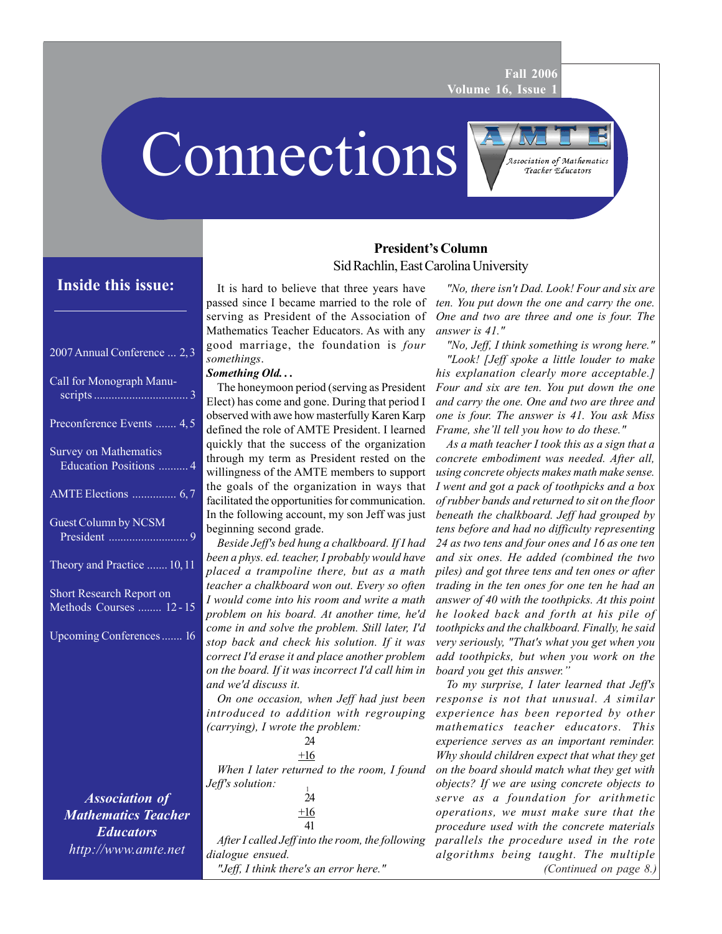**Fall 2006 Volume 16, Issue 1**

# Connections

## **Inside this issue:**

| 2007 Annual Conference  2, 3                              |
|-----------------------------------------------------------|
| Call for Monograph Manu-<br>scripts<br>3<br>.             |
| Preconference Events  4, 5                                |
| <b>Survey on Mathematics</b><br>Education Positions  4    |
| AMTE Elections  6,7                                       |
| <b>Guest Column by NCSM</b><br>President<br>9             |
| Theory and Practice  10, 11                               |
| <b>Short Research Report on</b><br>Methods Courses  12-15 |
| Upcoming Conferences 16                                   |
|                                                           |
|                                                           |
|                                                           |
|                                                           |
|                                                           |
| <b>Association of</b><br><b>Mathematics Teacher</b>       |
|                                                           |

*Educators http://www.amte.net*

## **President's Column** Sid Rachlin, East Carolina University

passed since I became married to the role of *ten. You put down the one and carry the one.* It is hard to believe that three years have serving as President of the Association of Mathematics Teacher Educators. As with any good marriage, the foundation is *four somethings*.

#### *Something Old. . .*

The honeymoon period (serving as President Elect) has come and gone. During that period I observed with awe how masterfully Karen Karp defined the role of AMTE President. I learned quickly that the success of the organization through my term as President rested on the willingness of the AMTE members to support the goals of the organization in ways that facilitated the opportunities for communication. In the following account, my son Jeff was just beginning second grade.

*Beside Jeff's bed hung a chalkboard. If I had been a phys. ed. teacher, I probably would have placed a trampoline there, but as a math teacher a chalkboard won out. Every so often I would come into his room and write a math problem on his board. At another time, he'd come in and solve the problem. Still later, I'd stop back and check his solution. If it was correct I'd erase it and place another problem on the board. If it was incorrect I'd call him in and we'd discuss it.*

*On one occasion, when Jeff had just been introduced to addition with regrouping (carrying), I wrote the problem:*

| $\left(\frac{1}{2}, \frac{1}{2}, \frac{1}{2}, \frac{1}{2}, \frac{1}{2}, \frac{1}{2}, \frac{1}{2}, \frac{1}{2}, \frac{1}{2}, \frac{1}{2}, \frac{1}{2}, \frac{1}{2}, \frac{1}{2}, \frac{1}{2}, \frac{1}{2}, \frac{1}{2}, \frac{1}{2}, \frac{1}{2}, \frac{1}{2}, \frac{1}{2}, \frac{1}{2}, \frac{1}{2}, \frac{1}{2}, \frac{1}{2}, \frac{1}{2}, \frac{1}{2}, \frac{1}{2}, \frac{1}{2}, \frac{1}{2}, \frac{1}{2}, \frac{1}{2}, \$ |
|------------------------------------------------------------------------------------------------------------------------------------------------------------------------------------------------------------------------------------------------------------------------------------------------------------------------------------------------------------------------------------------------------------------------------|
| 24                                                                                                                                                                                                                                                                                                                                                                                                                           |
| $+16$                                                                                                                                                                                                                                                                                                                                                                                                                        |
| When I later returned to the room, I found                                                                                                                                                                                                                                                                                                                                                                                   |
| <i>Jeff's solution:</i>                                                                                                                                                                                                                                                                                                                                                                                                      |
| 24                                                                                                                                                                                                                                                                                                                                                                                                                           |
| $+16$                                                                                                                                                                                                                                                                                                                                                                                                                        |
| 41                                                                                                                                                                                                                                                                                                                                                                                                                           |
| After I called Jeff into the room, the following                                                                                                                                                                                                                                                                                                                                                                             |
| dialogue ensued.                                                                                                                                                                                                                                                                                                                                                                                                             |

*"Jeff, I think there's an error here."*

*"No, there isn't Dad. Look! Four and six are One and two are three and one is four. The answer is 41."*

**Association of Mathematics** Teacher Educators

*"No, Jeff, I think something is wrong here." "Look! [Jeff spoke a little louder to make his explanation clearly more acceptable.] Four and six are ten. You put down the one and carry the one. One and two are three and one is four. The answer is 41. You ask Miss Frame, she'll tell you how to do these."*

*As a math teacher I took this as a sign that a concrete embodiment was needed. After all, using concrete objects makes math make sense. I went and got a pack of toothpicks and a box of rubber bands and returned to sit on the floor beneath the chalkboard. Jeff had grouped by tens before and had no difficulty representing 24 as two tens and four ones and 16 as one ten and six ones. He added (combined the two piles) and got three tens and ten ones or after trading in the ten ones for one ten he had an answer of 40 with the toothpicks. At this point he looked back and forth at his pile of toothpicks and the chalkboard. Finally, he said very seriously, "That's what you get when you add toothpicks, but when you work on the board you get this answer."*

*(Continued on page 8.) To my surprise, I later learned that Jeff's response is not that unusual. A similar experience has been reported by other mathematics teacher educators. This experience serves as an important reminder. Why should children expect that what they get on the board should match what they get with objects? If we are using concrete objects to serve as a foundation for arithmetic operations, we must make sure that the procedure used with the concrete materials parallels the procedure used in the rote algorithms being taught. The multiple*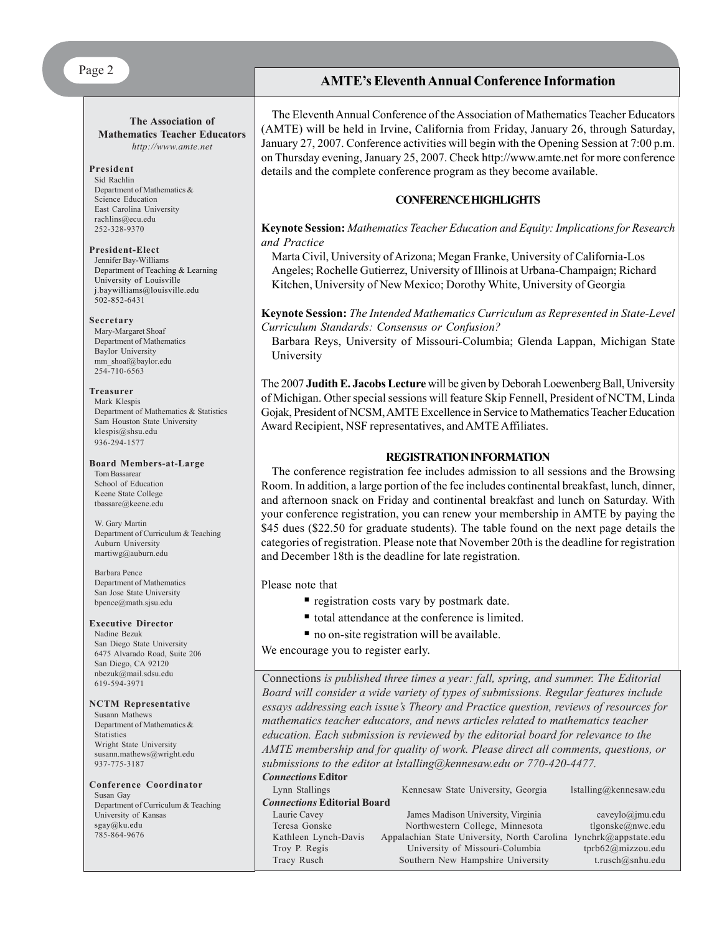## Page 2

#### **The Association of Mathematics Teacher Educators** *http://www.amte.net*

#### **President**

Sid Rachlin Department of Mathematics & Science Education East Carolina University rachlins@ecu.edu 252-328-9370

#### **President-Elect**

Jennifer Bay-Williams Department of Teaching & Learning University of Louisville j.baywilliams@louisville.edu 502-852-6431

#### **Secretary**

Mary-Margaret Shoaf Department of Mathematics Baylor University mm\_shoaf@baylor.edu 254-710-6563

#### **Treasurer**

Mark Klespis Department of Mathematics & Statistics Sam Houston State University klespis@shsu.edu 936-294-1577

#### **Board Members-at-Large**

Tom Bassarear School of Education Keene State College tbassare@keene.edu

W. Gary Martin Department of Curriculum & Teaching Auburn University martiwg@auburn.edu

Barbara Pence Department of Mathematics San Jose State University bpence@math.sjsu.edu

#### **Executive Director**

Nadine Bezuk San Diego State University 6475 Alvarado Road, Suite 206 San Diego, CA 92120 nbezuk@mail.sdsu.edu 619-594-3971

#### **NCTM Representative**

Susann Mathews Department of Mathematics & **Statistics** Wright State University susann.mathews@wright.edu 937-775-3187

#### **Conference Coordinator** Susan Gay Department of Curriculum & Teaching University of Kansas sgay@ku.edu 785-864-9676

## **AMTE's Eleventh Annual Conference Information**

The Eleventh Annual Conference of the Association of Mathematics Teacher Educators (AMTE) will be held in Irvine, California from Friday, January 26, through Saturday, January 27, 2007. Conference activities will begin with the Opening Session at 7:00 p.m. on Thursday evening, January 25, 2007. Check http://www.amte.net for more conference details and the complete conference program as they become available.

#### **CONFERENCE HIGHLIGHTS**

## **Keynote Session:** *Mathematics Teacher Education and Equity: Implications for Research and Practice*

Marta Civil, University of Arizona; Megan Franke, University of California-Los Angeles; Rochelle Gutierrez, University of Illinois at Urbana-Champaign; Richard Kitchen, University of New Mexico; Dorothy White, University of Georgia

## **Keynote Session:** *The Intended Mathematics Curriculum as Represented in State-Level Curriculum Standards: Consensus or Confusion?*

Barbara Reys, University of Missouri-Columbia; Glenda Lappan, Michigan State University

The 2007 **Judith E. Jacobs Lecture** will be given by Deborah Loewenberg Ball, University of Michigan. Other special sessions will feature Skip Fennell, President of NCTM, Linda Gojak, President of NCSM, AMTE Excellence in Service to Mathematics Teacher Education Award Recipient, NSF representatives, and AMTE Affiliates.

#### **REGISTRATION INFORMATION**

The conference registration fee includes admission to all sessions and the Browsing Room. In addition, a large portion of the fee includes continental breakfast, lunch, dinner, and afternoon snack on Friday and continental breakfast and lunch on Saturday. With your conference registration, you can renew your membership in AMTE by paying the \$45 dues (\$22.50 for graduate students). The table found on the next page details the categories of registration. Please note that November 20th is the deadline for registration and December 18th is the deadline for late registration.

Please note that

- registration costs vary by postmark date.
- total attendance at the conference is limited.
- no on-site registration will be available.

We encourage you to register early.

Connections *is published three times a year: fall, spring, and summer. The Editorial Board will consider a wide variety of types of submissions. Regular features include essays addressing each issue's Theory and Practice question, reviews of resources for mathematics teacher educators, and news articles related to mathematics teacher education. Each submission is reviewed by the editorial board for relevance to the AMTE membership and for quality of work. Please direct all comments, questions, or submissions to the editor at lstalling@kennesaw.edu or 770-420-4477. Connections* **Editor**

| Lynn Stallings                     | Kennesaw State University, Georgia<br>$İstalling@$ kennesaw.edu   |                   |
|------------------------------------|-------------------------------------------------------------------|-------------------|
| <b>Connections Editorial Board</b> |                                                                   |                   |
| Laurie Cavey                       | James Madison University, Virginia                                | caveylo@jmu.edu   |
| Teresa Gonske                      | Northwestern College, Minnesota                                   | tlgonske@nwc.edu  |
| Kathleen Lynch-Davis               | Appalachian State University, North Carolina lynchrk@appstate.edu |                   |
| Troy P. Regis                      | University of Missouri-Columbia                                   | tprb62@mizzou.edu |
| Tracy Rusch                        | Southern New Hampshire University                                 | t.rusch@snhu.edu  |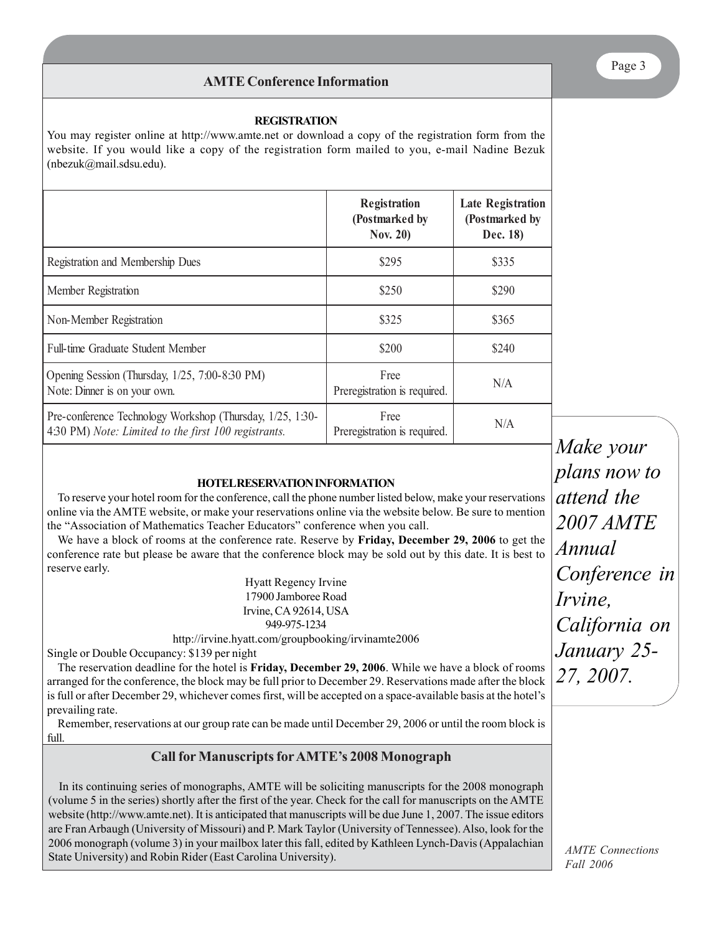## **AMTE Conference Information**

## **REGISTRATION**

You may register online at http://www.amte.net or download a copy of the registration form from the website. If you would like a copy of the registration form mailed to you, e-mail Nadine Bezuk (nbezuk@mail.sdsu.edu).

|                                                                                                                   | <b>Registration</b><br>(Postmarked by<br><b>Nov. 20)</b> | <b>Late Registration</b><br>(Postmarked by<br>Dec. 18) |
|-------------------------------------------------------------------------------------------------------------------|----------------------------------------------------------|--------------------------------------------------------|
| Registration and Membership Dues                                                                                  | \$295                                                    | \$335                                                  |
| Member Registration                                                                                               | \$250                                                    | \$290                                                  |
| Non-Member Registration                                                                                           | \$325                                                    | \$365                                                  |
| <b>Full-time Graduate Student Member</b>                                                                          | \$200                                                    | \$240                                                  |
| Opening Session (Thursday, 1/25, 7:00-8:30 PM)<br>Note: Dinner is on your own.                                    | Free<br>Preregistration is required.                     | N/A                                                    |
| Pre-conference Technology Workshop (Thursday, 1/25, 1:30-<br>4:30 PM) Note: Limited to the first 100 registrants. | Free<br>Preregistration is required.                     | N/A                                                    |

## **HOTEL RESERVATION INFORMATION**

To reserve your hotel room for the conference, call the phone number listed below, make your reservations online via the AMTE website, or make your reservations online via the website below. Be sure to mention the "Association of Mathematics Teacher Educators" conference when you call.

We have a block of rooms at the conference rate. Reserve by **Friday, December 29, 2006** to get the conference rate but please be aware that the conference block may be sold out by this date. It is best to reserve early.

## Hyatt Regency Irvine 17900 Jamboree Road Irvine, CA 92614, USA 949-975-1234

http://irvine.hyatt.com/groupbooking/irvinamte2006

Single or Double Occupancy: \$139 per night

The reservation deadline for the hotel is **Friday, December 29, 2006**. While we have a block of rooms arranged for the conference, the block may be full prior to December 29. Reservations made after the block is full or after December 29, whichever comes first, will be accepted on a space-available basis at the hotel's prevailing rate.

Remember, reservations at our group rate can be made until December 29, 2006 or until the room block is full.

## **Call for Manuscripts for AMTE's 2008 Monograph**

In its continuing series of monographs, AMTE will be soliciting manuscripts for the 2008 monograph (volume 5 in the series) shortly after the first of the year. Check for the call for manuscripts on the AMTE website (http://www.amte.net). It is anticipated that manuscripts will be due June 1, 2007. The issue editors are Fran Arbaugh (University of Missouri) and P. Mark Taylor (University of Tennessee). Also, look for the 2006 monograph (volume 3) in your mailbox later this fall, edited by Kathleen Lynch-Davis (Appalachian State University) and Robin Rider (East Carolina University).

*Make your plans now to attend the 2007 AMTE Annual Conference in Irvine, California on January 25- 27, 2007.*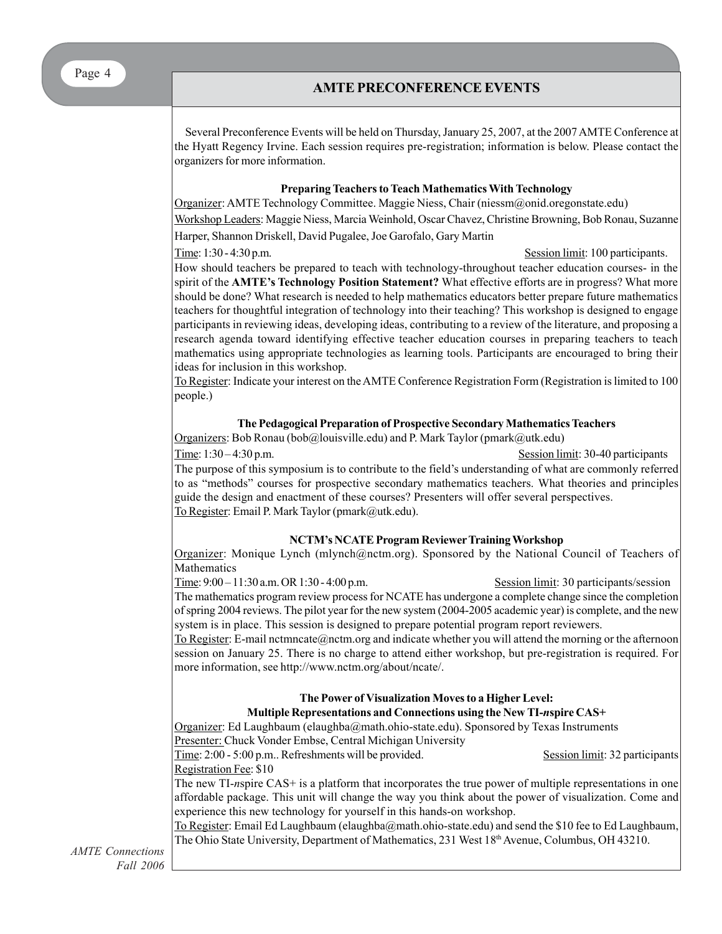Several Preconference Events will be held on Thursday, January 25, 2007, at the 2007 AMTE Conference at the Hyatt Regency Irvine. Each session requires pre-registration; information is below. Please contact the organizers for more information.

## **Preparing Teachers to Teach Mathematics With Technology**

Organizer: AMTE Technology Committee. Maggie Niess, Chair (niessm@onid.oregonstate.edu) Workshop Leaders: Maggie Niess, Marcia Weinhold, Oscar Chavez, Christine Browning, Bob Ronau, Suzanne Harper, Shannon Driskell, David Pugalee, Joe Garofalo, Gary Martin

Time: 1:30 - 4:30 p.m. Session limit: 100 participants.

How should teachers be prepared to teach with technology-throughout teacher education courses- in the spirit of the **AMTE's Technology Position Statement?** What effective efforts are in progress? What more should be done? What research is needed to help mathematics educators better prepare future mathematics teachers for thoughtful integration of technology into their teaching? This workshop is designed to engage participants in reviewing ideas, developing ideas, contributing to a review of the literature, and proposing a research agenda toward identifying effective teacher education courses in preparing teachers to teach mathematics using appropriate technologies as learning tools. Participants are encouraged to bring their ideas for inclusion in this workshop.

To Register: Indicate your interest on the AMTE Conference Registration Form (Registration is limited to 100 people.)

## **The Pedagogical Preparation of Prospective Secondary Mathematics Teachers**

Organizers: Bob Ronau (bob@louisville.edu) and P. Mark Taylor (pmark@utk.edu)

 $Time: 1:30 - 4:30 p.m.$  Session limit:  $30-40$  participants The purpose of this symposium is to contribute to the field's understanding of what are commonly referred to as "methods" courses for prospective secondary mathematics teachers. What theories and principles guide the design and enactment of these courses? Presenters will offer several perspectives. To Register: Email P. Mark Taylor (pmark@utk.edu).

#### **NCTM's NCATE Program Reviewer Training Workshop**

Organizer: Monique Lynch (mlynch@nctm.org). Sponsored by the National Council of Teachers of Mathematics

Time: 9:00 – 11:30 a.m. OR 1:30 - 4:00 p.m. Session limit: 30 participants/session The mathematics program review process for NCATE has undergone a complete change since the completion of spring 2004 reviews. The pilot year for the new system (2004-2005 academic year) is complete, and the new system is in place. This session is designed to prepare potential program report reviewers.

To Register: E-mail nctmncate  $@$ nctm.org and indicate whether you will attend the morning or the afternoon session on January 25. There is no charge to attend either workshop, but pre-registration is required. For more information, see http://www.nctm.org/about/ncate/.

#### **The Power of Visualization Moves to a Higher Level: Multiple Representations and Connections using the New TI-***n***spire CAS+**

Organizer: Ed Laughbaum (elaughba@math.ohio-state.edu). Sponsored by Texas Instruments

Presenter: Chuck Vonder Embse, Central Michigan University

Time: 2:00 - 5:00 p.m.. Refreshments will be provided. Session limit: 32 participants

Registration Fee: \$10

The new TI-*n*spire CAS+ is a platform that incorporates the true power of multiple representations in one affordable package. This unit will change the way you think about the power of visualization. Come and experience this new technology for yourself in this hands-on workshop.

To Register: Email Ed Laughbaum (elaughba@math.ohio-state.edu) and send the \$10 fee to Ed Laughbaum, The Ohio State University, Department of Mathematics, 231 West 18<sup>th</sup> Avenue, Columbus, OH 43210.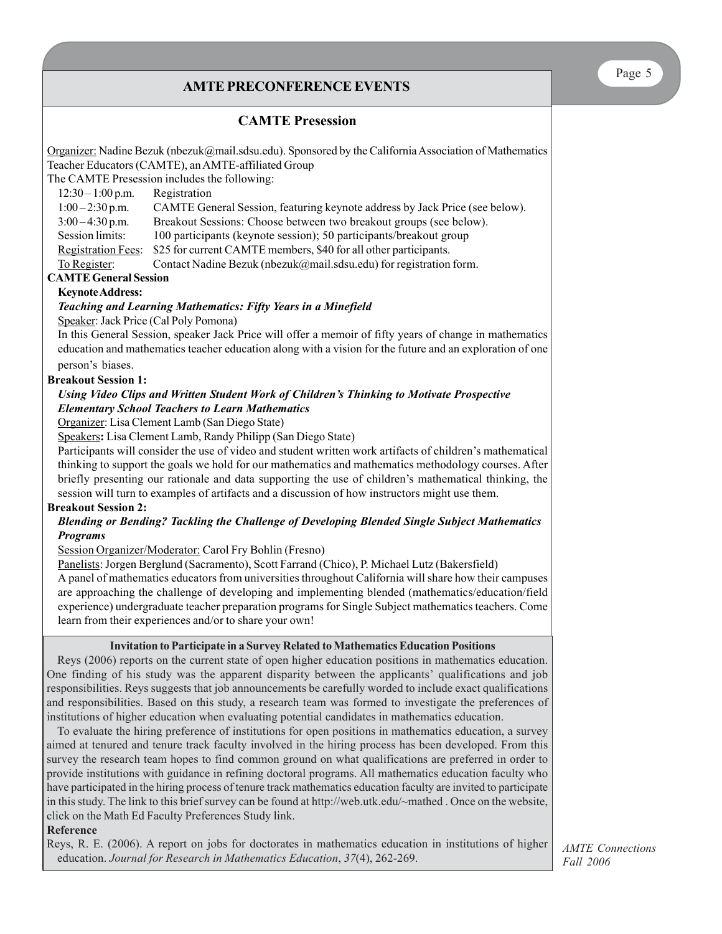## **AMTE PRECONFERENCE EVENTS**

## **CAMTE Presession**

| Organizer: Nadine Bezuk (nbezuk@mail.sdsu.edu). Sponsored by the California Association of Mathematics                                                                                                            |                                                                                                                                                                |  |  |  |  |
|-------------------------------------------------------------------------------------------------------------------------------------------------------------------------------------------------------------------|----------------------------------------------------------------------------------------------------------------------------------------------------------------|--|--|--|--|
|                                                                                                                                                                                                                   | Teacher Educators (CAMTE), an AMTE-affiliated Group                                                                                                            |  |  |  |  |
| The CAMTE Presession includes the following:                                                                                                                                                                      |                                                                                                                                                                |  |  |  |  |
| $12:30 - 1:00$ p.m.                                                                                                                                                                                               | Registration                                                                                                                                                   |  |  |  |  |
| $1:00-2:30$ p.m.                                                                                                                                                                                                  | CAMTE General Session, featuring keynote address by Jack Price (see below).                                                                                    |  |  |  |  |
| $3:00-4:30$ p.m.                                                                                                                                                                                                  | Breakout Sessions: Choose between two breakout groups (see below).                                                                                             |  |  |  |  |
| Session limits:                                                                                                                                                                                                   | 100 participants (keynote session); 50 participants/breakout group                                                                                             |  |  |  |  |
| <b>Registration Fees:</b>                                                                                                                                                                                         | \$25 for current CAMTE members, \$40 for all other participants.                                                                                               |  |  |  |  |
| To Register:                                                                                                                                                                                                      | Contact Nadine Bezuk (nbezuk@mail.sdsu.edu) for registration form.                                                                                             |  |  |  |  |
| <b>CAMTE General Session</b>                                                                                                                                                                                      |                                                                                                                                                                |  |  |  |  |
| <b>Keynote Address:</b>                                                                                                                                                                                           |                                                                                                                                                                |  |  |  |  |
|                                                                                                                                                                                                                   | Teaching and Learning Mathematics: Fifty Years in a Minefield                                                                                                  |  |  |  |  |
| Speaker: Jack Price (Cal Poly Pomona)                                                                                                                                                                             |                                                                                                                                                                |  |  |  |  |
|                                                                                                                                                                                                                   | In this General Session, speaker Jack Price will offer a memoir of fifty years of change in mathematics                                                        |  |  |  |  |
|                                                                                                                                                                                                                   | education and mathematics teacher education along with a vision for the future and an exploration of one                                                       |  |  |  |  |
| person's biases.                                                                                                                                                                                                  |                                                                                                                                                                |  |  |  |  |
| <b>Breakout Session 1:</b>                                                                                                                                                                                        |                                                                                                                                                                |  |  |  |  |
|                                                                                                                                                                                                                   | Using Video Clips and Written Student Work of Children's Thinking to Motivate Prospective                                                                      |  |  |  |  |
|                                                                                                                                                                                                                   | <b>Elementary School Teachers to Learn Mathematics</b>                                                                                                         |  |  |  |  |
|                                                                                                                                                                                                                   | Organizer: Lisa Clement Lamb (San Diego State)                                                                                                                 |  |  |  |  |
|                                                                                                                                                                                                                   | Speakers: Lisa Clement Lamb, Randy Philipp (San Diego State)                                                                                                   |  |  |  |  |
|                                                                                                                                                                                                                   | Participants will consider the use of video and student written work artifacts of children's mathematical                                                      |  |  |  |  |
|                                                                                                                                                                                                                   | thinking to support the goals we hold for our mathematics and mathematics methodology courses. After                                                           |  |  |  |  |
|                                                                                                                                                                                                                   | briefly presenting our rationale and data supporting the use of children's mathematical thinking, the                                                          |  |  |  |  |
|                                                                                                                                                                                                                   | session will turn to examples of artifacts and a discussion of how instructors might use them.                                                                 |  |  |  |  |
| <b>Breakout Session 2:</b>                                                                                                                                                                                        |                                                                                                                                                                |  |  |  |  |
| Blending or Bending? Tackling the Challenge of Developing Blended Single Subject Mathematics                                                                                                                      |                                                                                                                                                                |  |  |  |  |
| <b>Programs</b>                                                                                                                                                                                                   |                                                                                                                                                                |  |  |  |  |
|                                                                                                                                                                                                                   | Session Organizer/Moderator: Carol Fry Bohlin (Fresno)                                                                                                         |  |  |  |  |
|                                                                                                                                                                                                                   | Panelists: Jorgen Berglund (Sacramento), Scott Farrand (Chico), P. Michael Lutz (Bakersfield)                                                                  |  |  |  |  |
|                                                                                                                                                                                                                   | A panel of mathematics educators from universities throughout California will share how their campuses                                                         |  |  |  |  |
| are approaching the challenge of developing and implementing blended (mathematics/education/field                                                                                                                 |                                                                                                                                                                |  |  |  |  |
|                                                                                                                                                                                                                   |                                                                                                                                                                |  |  |  |  |
|                                                                                                                                                                                                                   | experience) undergraduate teacher preparation programs for Single Subject mathematics teachers. Come<br>learn from their experiences and/or to share your own! |  |  |  |  |
|                                                                                                                                                                                                                   |                                                                                                                                                                |  |  |  |  |
|                                                                                                                                                                                                                   | <b>Invitation to Participate in a Survey Related to Mathematics Education Positions</b>                                                                        |  |  |  |  |
| Reys (2006) reports on the current state of open higher education positions in mathematics education.                                                                                                             |                                                                                                                                                                |  |  |  |  |
| One finding of his study was the apparent disparity between the applicants' qualifications and job                                                                                                                |                                                                                                                                                                |  |  |  |  |
| responsibilities. Reys suggests that job announcements be carefully worded to include exact qualifications                                                                                                        |                                                                                                                                                                |  |  |  |  |
| and responsibilities. Based on this study, a research team was formed to investigate the preferences of                                                                                                           |                                                                                                                                                                |  |  |  |  |
| institutions of higher education when evaluating potential candidates in mathematics education.                                                                                                                   |                                                                                                                                                                |  |  |  |  |
|                                                                                                                                                                                                                   |                                                                                                                                                                |  |  |  |  |
| To evaluate the hiring preference of institutions for open positions in mathematics education, a survey<br>aimed at tenured and tenure track faculty involved in the hiring process has been developed. From this |                                                                                                                                                                |  |  |  |  |
|                                                                                                                                                                                                                   |                                                                                                                                                                |  |  |  |  |
|                                                                                                                                                                                                                   | survey the research team hopes to find common ground on what qualifications are preferred in order to                                                          |  |  |  |  |
|                                                                                                                                                                                                                   | provide institutions with guidance in refining doctoral programs. All mathematics education faculty who                                                        |  |  |  |  |
|                                                                                                                                                                                                                   | have participated in the hiring process of tenure track mathematics education faculty are invited to participate                                               |  |  |  |  |
|                                                                                                                                                                                                                   | in this study. The link to this brief survey can be found at http://web.utk.edu/~mathed. Once on the website,                                                  |  |  |  |  |
| click on the Math Ed Faculty Preferences Study link.                                                                                                                                                              |                                                                                                                                                                |  |  |  |  |

## **Reference**

Reys, R. E. (2006). A report on jobs for doctorates in mathematics education in institutions of higher education. *Journal for Research in Mathematics Education*, *37*(4), 262-269.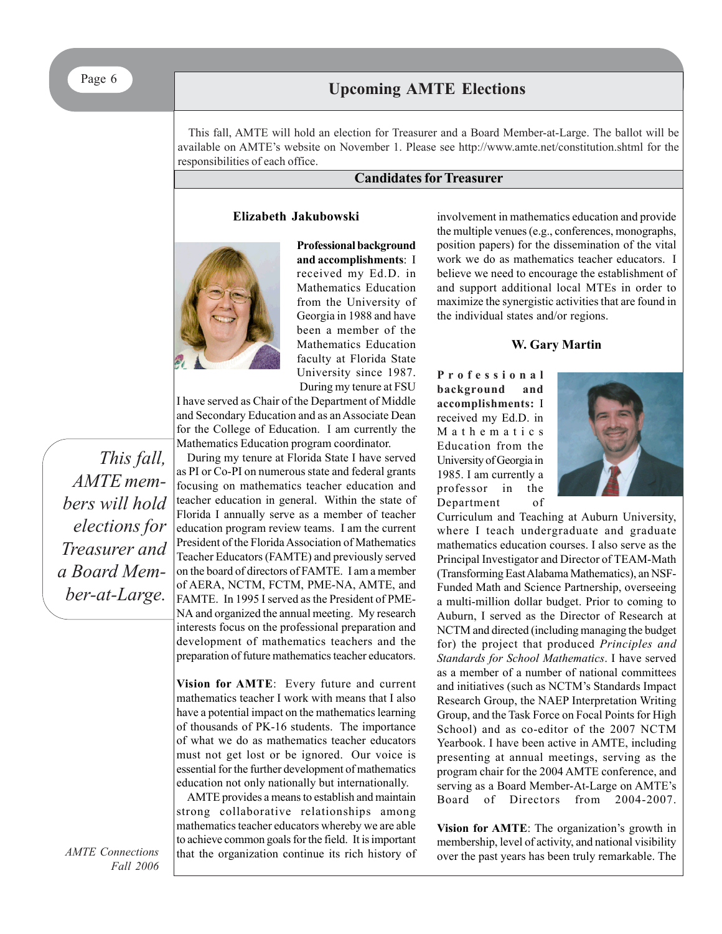This fall, AMTE will hold an election for Treasurer and a Board Member-at-Large. The ballot will be available on AMTE's website on November 1. Please see http://www.amte.net/constitution.shtml for the responsibilities of each office.

## **Candidates for Treasurer**

## **Elizabeth Jakubowski**



**Professional background and accomplishments**: I received my Ed.D. in Mathematics Education from the University of Georgia in 1988 and have been a member of the Mathematics Education faculty at Florida State University since 1987. During my tenure at FSU

I have served as Chair of the Department of Middle and Secondary Education and as an Associate Dean for the College of Education. I am currently the Mathematics Education program coordinator.

During my tenure at Florida State I have served as PI or Co-PI on numerous state and federal grants focusing on mathematics teacher education and teacher education in general. Within the state of Florida I annually serve as a member of teacher education program review teams. I am the current President of the Florida Association of Mathematics Teacher Educators (FAMTE) and previously served on the board of directors of FAMTE. I am a member of AERA, NCTM, FCTM, PME-NA, AMTE, and FAMTE. In 1995 I served as the President of PME-NA and organized the annual meeting. My research interests focus on the professional preparation and development of mathematics teachers and the preparation of future mathematics teacher educators.

**Vision for AMTE**: Every future and current mathematics teacher I work with means that I also have a potential impact on the mathematics learning of thousands of PK-16 students. The importance of what we do as mathematics teacher educators must not get lost or be ignored. Our voice is essential for the further development of mathematics education not only nationally but internationally.

AMTE provides a means to establish and maintain strong collaborative relationships among mathematics teacher educators whereby we are able to achieve common goals for the field. It is important that the organization continue its rich history of

involvement in mathematics education and provide the multiple venues (e.g., conferences, monographs, position papers) for the dissemination of the vital work we do as mathematics teacher educators. I believe we need to encourage the establishment of and support additional local MTEs in order to maximize the synergistic activities that are found in the individual states and/or regions.

## **W. Gary Martin**

**Professional background and accomplishments:** I received my Ed.D. in Mathematics Education from the University of Georgia in 1985. I am currently a professor in the Department of



Curriculum and Teaching at Auburn University, where I teach undergraduate and graduate mathematics education courses. I also serve as the Principal Investigator and Director of TEAM-Math (Transforming East Alabama Mathematics), an NSF-Funded Math and Science Partnership, overseeing a multi-million dollar budget. Prior to coming to Auburn, I served as the Director of Research at NCTM and directed (including managing the budget for) the project that produced *Principles and Standards for School Mathematics*. I have served as a member of a number of national committees and initiatives (such as NCTM's Standards Impact Research Group, the NAEP Interpretation Writing Group, and the Task Force on Focal Points for High School) and as co-editor of the 2007 NCTM Yearbook. I have been active in AMTE, including presenting at annual meetings, serving as the program chair for the 2004 AMTE conference, and serving as a Board Member-At-Large on AMTE's Board of Directors from 2004-2007.

**Vision for AMTE**: The organization's growth in membership, level of activity, and national visibility over the past years has been truly remarkable. The

*This fall, AMTE members will hold elections for Treasurer and a Board Member-at-Large.*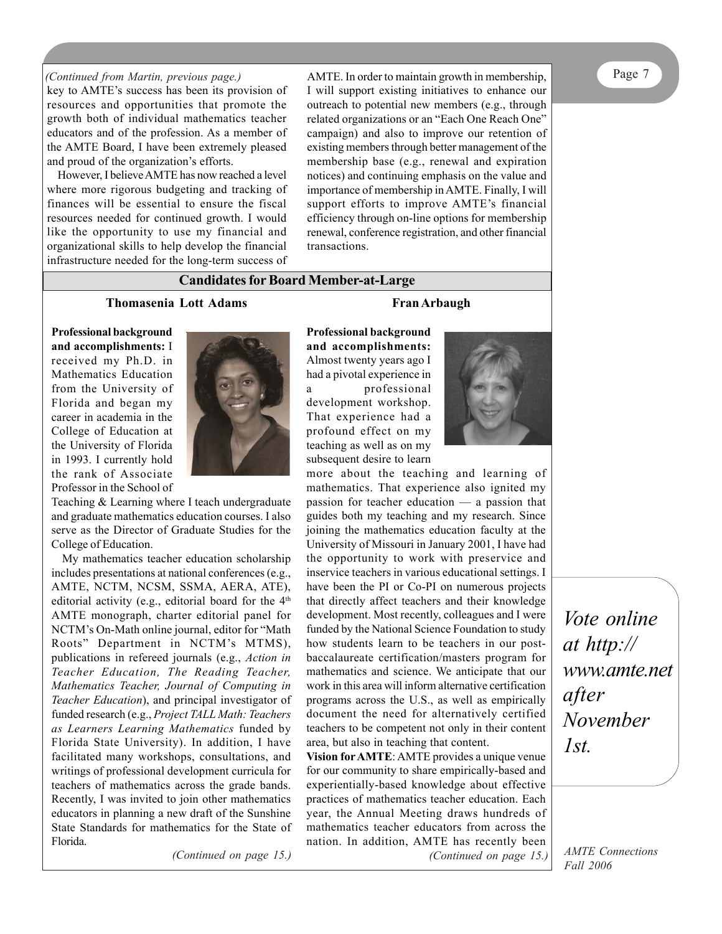## Page 7

## key to AMTE's success has been its provision of resources and opportunities that promote the growth both of individual mathematics teacher

educators and of the profession. As a member of the AMTE Board, I have been extremely pleased and proud of the organization's efforts.

However, I believe AMTE has now reached a level where more rigorous budgeting and tracking of finances will be essential to ensure the fiscal resources needed for continued growth. I would like the opportunity to use my financial and organizational skills to help develop the financial infrastructure needed for the long-term success of

*(Continued from Martin, previous page.)* AMTE. In order to maintain growth in membership, I will support existing initiatives to enhance our outreach to potential new members (e.g., through related organizations or an "Each One Reach One" campaign) and also to improve our retention of existing members through better management of the membership base (e.g., renewal and expiration notices) and continuing emphasis on the value and importance of membership in AMTE. Finally, I will support efforts to improve AMTE's financial efficiency through on-line options for membership renewal, conference registration, and other financial transactions.

## **Candidates for Board Member-at-Large**

## **Thomasenia Lott Adams**

**Professional background and accomplishments:** I received my Ph.D. in Mathematics Education from the University of Florida and began my career in academia in the College of Education at the University of Florida in 1993. I currently hold the rank of Associate Professor in the School of



Teaching & Learning where I teach undergraduate and graduate mathematics education courses. I also serve as the Director of Graduate Studies for the College of Education.

My mathematics teacher education scholarship includes presentations at national conferences (e.g., AMTE, NCTM, NCSM, SSMA, AERA, ATE), editorial activity (e.g., editorial board for the  $4<sup>th</sup>$ AMTE monograph, charter editorial panel for NCTM's On-Math online journal, editor for "Math Roots" Department in NCTM's MTMS), publications in refereed journals (e.g., *Action in Teacher Education, The Reading Teacher, Mathematics Teacher, Journal of Computing in Teacher Education*), and principal investigator of funded research (e.g., *Project TALL Math: Teachers as Learners Learning Mathematics* funded by Florida State University). In addition, I have facilitated many workshops, consultations, and writings of professional development curricula for teachers of mathematics across the grade bands. Recently, I was invited to join other mathematics educators in planning a new draft of the Sunshine State Standards for mathematics for the State of Florida.

*(Continued on page 15.)*

## **Fran Arbaugh**

**Professional background and accomplishments:** Almost twenty years ago I had a pivotal experience in a professional development workshop. That experience had a profound effect on my teaching as well as on my subsequent desire to learn



more about the teaching and learning of mathematics. That experience also ignited my passion for teacher education — a passion that guides both my teaching and my research. Since joining the mathematics education faculty at the University of Missouri in January 2001, I have had the opportunity to work with preservice and inservice teachers in various educational settings. I have been the PI or Co-PI on numerous projects that directly affect teachers and their knowledge development. Most recently, colleagues and I were funded by the National Science Foundation to study how students learn to be teachers in our postbaccalaureate certification/masters program for mathematics and science. We anticipate that our work in this area will inform alternative certification programs across the U.S., as well as empirically document the need for alternatively certified teachers to be competent not only in their content area, but also in teaching that content.

**Vision for AMTE**: AMTE provides a unique venue for our community to share empirically-based and experientially-based knowledge about effective practices of mathematics teacher education. Each year, the Annual Meeting draws hundreds of mathematics teacher educators from across the nation. In addition, AMTE has recently been

*(Continued on page 15.)*

*Vote online at http:// www.amte.net after November 1st.*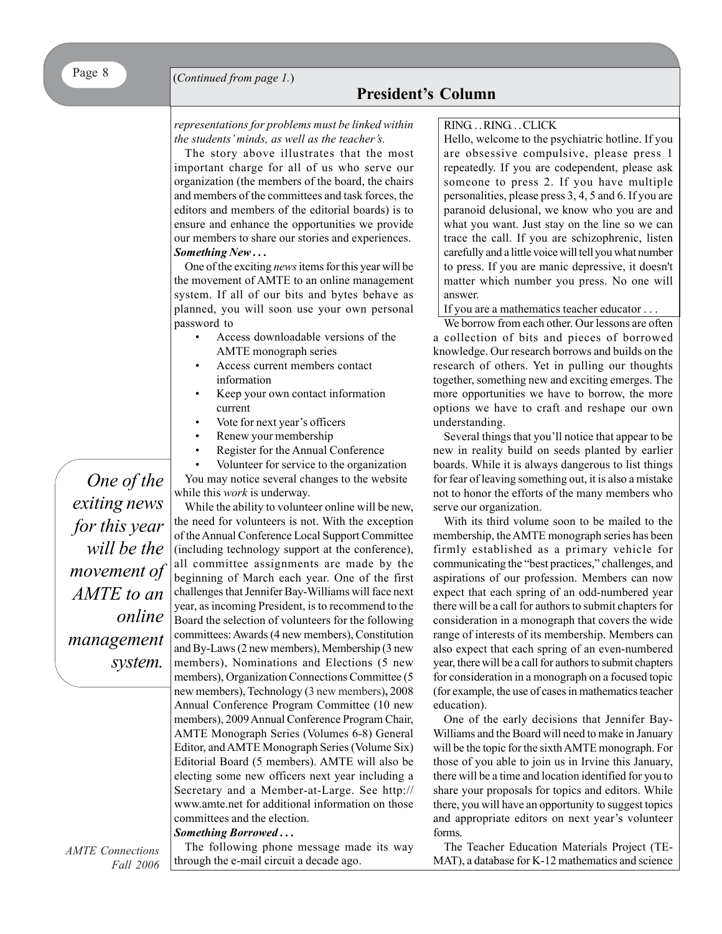Page 8 (*Continued from page 1.*)

## **President's Column**

*representations for problems must be linked within the students' minds, as well as the teacher's.*

The story above illustrates that the most important charge for all of us who serve our organization (the members of the board, the chairs and members of the committees and task forces, the editors and members of the editorial boards) is to ensure and enhance the opportunities we provide our members to share our stories and experiences. *Something New . . .*

One of the exciting *news* items forthis year will be the movement of AMTE to an online management system. If all of our bits and bytes behave as planned, you will soon use your own personal password to

- Access downloadable versions of the AMTE monograph series
- Access current members contact information
- Keep your own contact information current
- Vote for next year's officers
- Renew your membership
- Register for the Annual Conference

• Volunteer for service to the organization You may notice several changes to the website while this *work* is underway.

While the ability to volunteer online will be new, the need for volunteers is not. With the exception of the Annual Conference Local Support Committee (including technology support at the conference), all committee assignments are made by the beginning of March each year. One of the first challenges that Jennifer Bay-Williams will face next year, as incoming President, is to recommend to the Board the selection of volunteers for the following committees: Awards (4 new members), Constitution and By-Laws (2 new members), Membership (3 new members), Nominations and Elections (5 new members), Organization Connections Committee (5 new members), Technology (3 new members)**,** 2008 Annual Conference Program Committee (10 new members), 2009 Annual Conference Program Chair, AMTE Monograph Series (Volumes 6-8) General Editor, and AMTE Monograph Series (Volume Six) Editorial Board (5 members). AMTE will also be electing some new officers next year including a Secretary and a Member-at-Large. See http:// www.amte.net for additional information on those committees and the election.

#### *Something Borrowed . . .*

*AMTE Connections Fall 2006*

*One of the*

*exiting news for this year will be the*

*movement of AMTE to an*

*management*

*online*

*system.*

The following phone message made its way through the e-mail circuit a decade ago.

## $RING...RING...CLICK$

Hello, welcome to the psychiatric hotline. If you are obsessive compulsive, please press 1 repeatedly. If you are codependent, please ask someone to press 2. If you have multiple personalities, please press 3, 4, 5 and 6. If you are paranoid delusional, we know who you are and what you want. Just stay on the line so we can trace the call. If you are schizophrenic, listen carefully and a little voice will tell you what number to press. If you are manic depressive, it doesn't matter which number you press. No one will answer.

If you are a mathematics teacher educator . . .

We borrow from each other. Our lessons are often a collection of bits and pieces of borrowed knowledge. Our research borrows and builds on the research of others. Yet in pulling our thoughts together, something new and exciting emerges. The more opportunities we have to borrow, the more options we have to craft and reshape our own understanding.

Several things that you'll notice that appear to be new in reality build on seeds planted by earlier boards. While it is always dangerous to list things for fear of leaving something out, it is also a mistake not to honor the efforts of the many members who serve our organization.

With its third volume soon to be mailed to the membership, the AMTE monograph series has been firmly established as a primary vehicle for communicating the "best practices," challenges, and aspirations of our profession. Members can now expect that each spring of an odd-numbered year there will be a call for authors to submit chapters for consideration in a monograph that covers the wide range of interests of its membership. Members can also expect that each spring of an even-numbered year, there will be a call for authors to submit chapters for consideration in a monograph on a focused topic (for example, the use of cases in mathematics teacher education).

One of the early decisions that Jennifer Bay-Williams and the Board will need to make in January will be the topic for the sixth AMTE monograph. For those of you able to join us in Irvine this January, there will be a time and location identified for you to share your proposals for topics and editors. While there, you will have an opportunity to suggest topics and appropriate editors on next year's volunteer forms.

The Teacher Education Materials Project (TE-MAT), a database for K-12 mathematics and science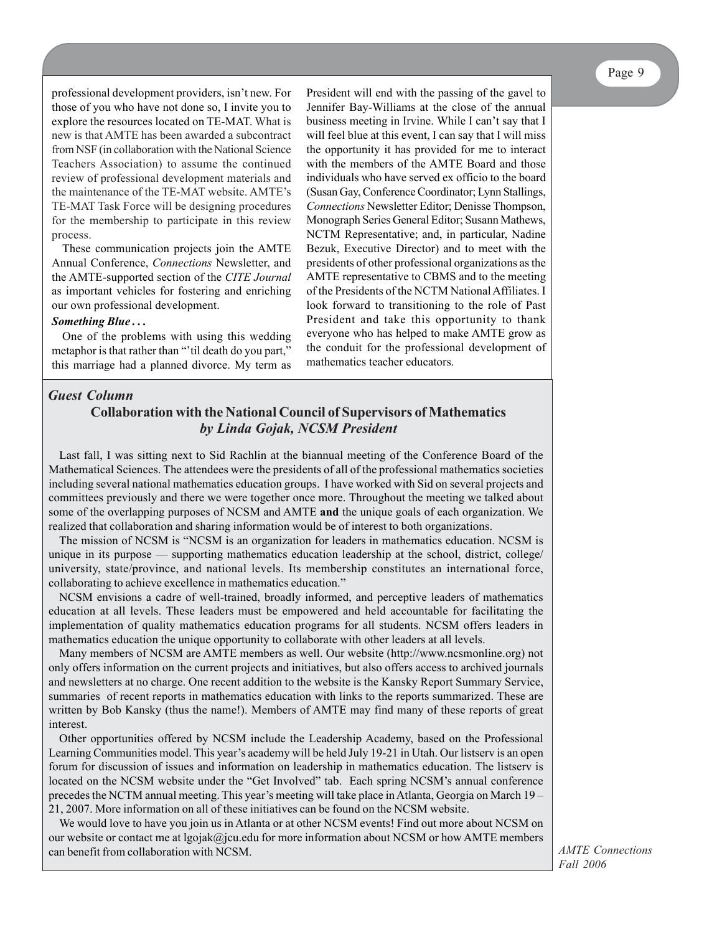Page 9

professional development providers, isn't new. For those of you who have not done so, I invite you to explore the resources located on TE-MAT. What is new is that AMTE has been awarded a subcontract from NSF (in collaboration with the National Science Teachers Association) to assume the continued review of professional development materials and the maintenance of the TE-MAT website. AMTE's TE-MAT Task Force will be designing procedures for the membership to participate in this review process.

These communication projects join the AMTE Annual Conference, *Connections* Newsletter, and the AMTE-supported section of the *CITE Journal* as important vehicles for fostering and enriching our own professional development.

#### *Something Blue . . .*

One of the problems with using this wedding metaphor is that rather than "'til death do you part," this marriage had a planned divorce. My term as

*Guest Column*

President will end with the passing of the gavel to Jennifer Bay-Williams at the close of the annual business meeting in Irvine. While I can't say that I will feel blue at this event, I can say that I will miss the opportunity it has provided for me to interact with the members of the AMTE Board and those individuals who have served ex officio to the board (Susan Gay, Conference Coordinator; Lynn Stallings, *Connections* Newsletter Editor; Denisse Thompson, Monograph Series General Editor; Susann Mathews, NCTM Representative; and, in particular, Nadine Bezuk, Executive Director) and to meet with the presidents of other professional organizations as the AMTE representative to CBMS and to the meeting of the Presidents of the NCTM National Affiliates. I look forward to transitioning to the role of Past President and take this opportunity to thank everyone who has helped to make AMTE grow as the conduit for the professional development of mathematics teacher educators.

## **Collaboration with the National Council of Supervisors of Mathematics** *by Linda Gojak, NCSM President*

Last fall, I was sitting next to Sid Rachlin at the biannual meeting of the Conference Board of the Mathematical Sciences. The attendees were the presidents of all of the professional mathematics societies including several national mathematics education groups. I have worked with Sid on several projects and committees previously and there we were together once more. Throughout the meeting we talked about some of the overlapping purposes of NCSM and AMTE **and** the unique goals of each organization. We realized that collaboration and sharing information would be of interest to both organizations.

The mission of NCSM is "NCSM is an organization for leaders in mathematics education. NCSM is unique in its purpose — supporting mathematics education leadership at the school, district, college/ university, state/province, and national levels. Its membership constitutes an international force, collaborating to achieve excellence in mathematics education."

NCSM envisions a cadre of well-trained, broadly informed, and perceptive leaders of mathematics education at all levels. These leaders must be empowered and held accountable for facilitating the implementation of quality mathematics education programs for all students. NCSM offers leaders in mathematics education the unique opportunity to collaborate with other leaders at all levels.

Many members of NCSM are AMTE members as well. Our website (http://www.ncsmonline.org) not only offers information on the current projects and initiatives, but also offers access to archived journals and newsletters at no charge. One recent addition to the website is the Kansky Report Summary Service, summaries of recent reports in mathematics education with links to the reports summarized. These are written by Bob Kansky (thus the name!). Members of AMTE may find many of these reports of great interest.

Other opportunities offered by NCSM include the Leadership Academy, based on the Professional Learning Communities model. This year's academy will be held July 19-21 in Utah. Our listserv is an open forum for discussion of issues and information on leadership in mathematics education. The listserv is located on the NCSM website under the "Get Involved" tab. Each spring NCSM's annual conference precedes the NCTM annual meeting. This year's meeting will take place in Atlanta, Georgia on March 19 – 21, 2007. More information on all of these initiatives can be found on the NCSM website.

We would love to have you join us in Atlanta or at other NCSM events! Find out more about NCSM on our website or contact me at  $lgojak@jcu.edu$  for more information about NCSM or how AMTE members can benefit from collaboration with NCSM.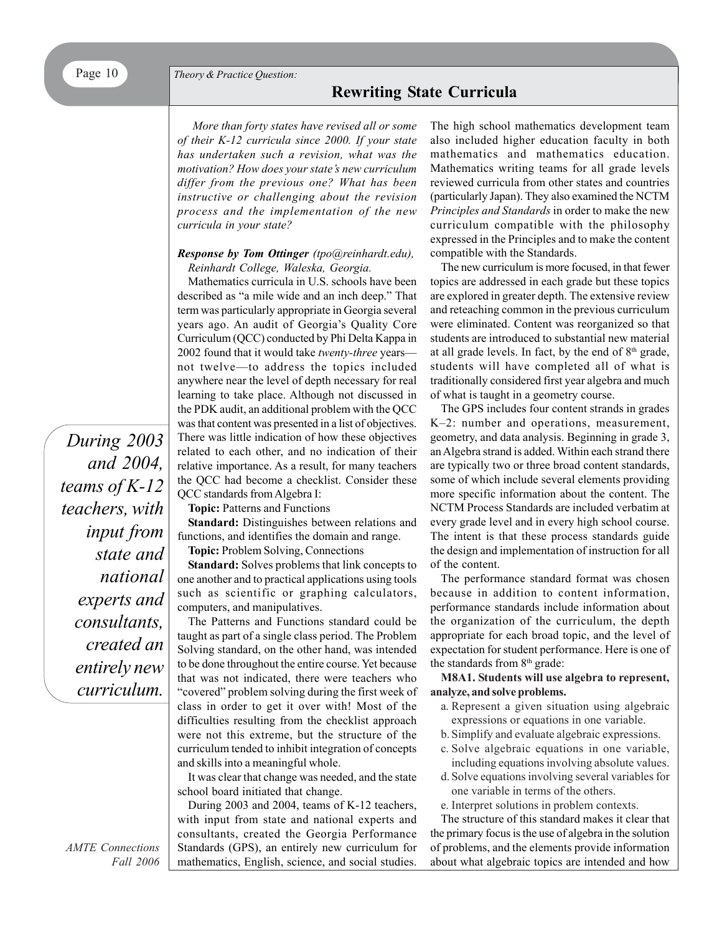## **Rewriting State Curricula**

*More than forty states have revised all or some of their K-12 curricula since 2000. If your state has undertaken such a revision, what was the motivation? How does your state's new curriculum differ from the previous one? What has been instructive or challenging about the revision process and the implementation of the new curricula in your state?*

## *Response by Tom Ottinger (tpo@reinhardt.edu), Reinhardt College, Waleska, Georgia.*

Mathematics curricula in U.S. schools have been described as "a mile wide and an inch deep." That term was particularly appropriate in Georgia several years ago. An audit of Georgia's Quality Core Curriculum (QCC) conducted by Phi Delta Kappa in 2002 found that it would take *twenty-three* years not twelve—to address the topics included anywhere near the level of depth necessary for real learning to take place. Although not discussed in the PDK audit, an additional problem with the QCC was that content was presented in a list of objectives. There was little indication of how these objectives related to each other, and no indication of their relative importance. As a result, for many teachers the QCC had become a checklist. Consider these QCC standards from Algebra I:

**Topic:** Patterns and Functions

**Standard:** Distinguishes between relations and functions, and identifies the domain and range.

**Topic:** Problem Solving, Connections

**Standard:** Solves problems that link concepts to one another and to practical applications using tools such as scientific or graphing calculators, computers, and manipulatives.

The Patterns and Functions standard could be taught as part of a single class period. The Problem Solving standard, on the other hand, was intended to be done throughout the entire course. Yet because that was not indicated, there were teachers who "covered" problem solving during the first week of class in order to get it over with! Most of the difficulties resulting from the checklist approach were not this extreme, but the structure of the curriculum tended to inhibit integration of concepts and skills into a meaningful whole.

It was clear that change was needed, and the state school board initiated that change.

During 2003 and 2004, teams of K-12 teachers, with input from state and national experts and consultants, created the Georgia Performance Standards (GPS), an entirely new curriculum for mathematics, English, science, and social studies.

The high school mathematics development team also included higher education faculty in both mathematics and mathematics education. Mathematics writing teams for all grade levels reviewed curricula from other states and countries (particularly Japan). They also examined the NCTM *Principles and Standards* in order to make the new curriculum compatible with the philosophy expressed in the Principles and to make the content compatible with the Standards.

The new curriculum is more focused, in that fewer topics are addressed in each grade but these topics are explored in greater depth. The extensive review and reteaching common in the previous curriculum were eliminated. Content was reorganized so that students are introduced to substantial new material at all grade levels. In fact, by the end of  $8<sup>th</sup>$  grade, students will have completed all of what is traditionally considered first year algebra and much of what is taught in a geometry course.

The GPS includes four content strands in grades K–2: number and operations, measurement, geometry, and data analysis. Beginning in grade 3, an Algebra strand is added. Within each strand there are typically two or three broad content standards, some of which include several elements providing more specific information about the content. The NCTM Process Standards are included verbatim at every grade level and in every high school course. The intent is that these process standards guide the design and implementation of instruction for all of the content.

The performance standard format was chosen because in addition to content information, performance standards include information about the organization of the curriculum, the depth appropriate for each broad topic, and the level of expectation for student performance. Here is one of the standards from 8<sup>th</sup> grade:

**M8A1. Students will use algebra to represent, analyze, and solve problems.**

- a. Represent a given situation using algebraic expressions or equations in one variable.
- b. Simplify and evaluate algebraic expressions.
- c. Solve algebraic equations in one variable, including equations involving absolute values.
- d. Solve equations involving several variables for one variable in terms of the others.
- e. Interpret solutions in problem contexts.

The structure of this standard makes it clear that the primary focus is the use of algebra in the solution of problems, and the elements provide information about what algebraic topics are intended and how

*During 2003 and 2004, teams of K-12 teachers, with input from state and national experts and consultants, created an entirely new curriculum.*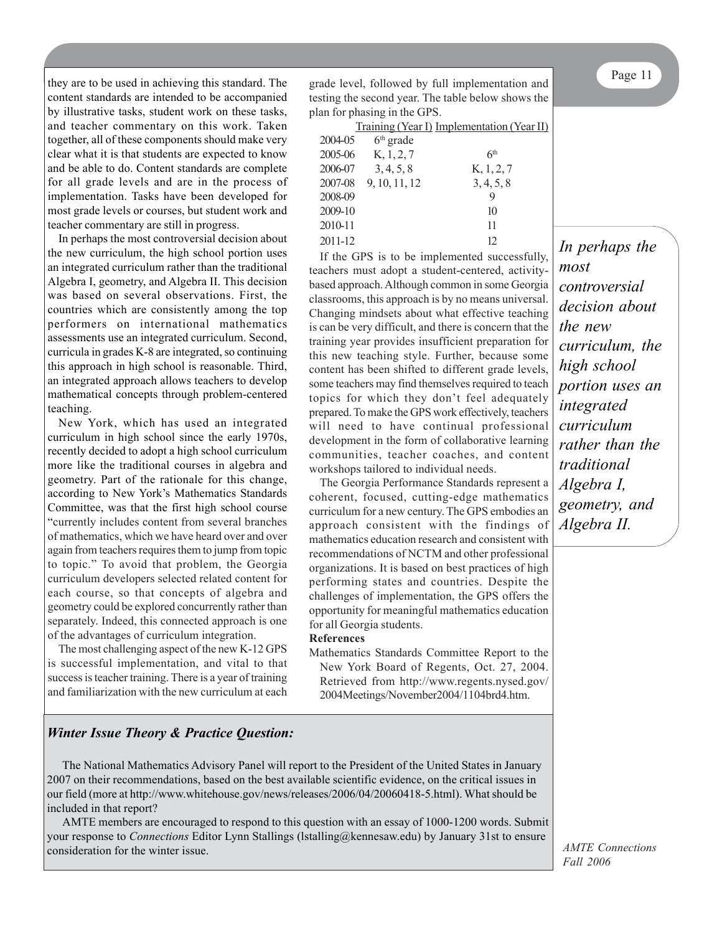they are to be used in achieving this standard. The content standards are intended to be accompanied by illustrative tasks, student work on these tasks, and teacher commentary on this work. Taken together, all of these components should make very clear what it is that students are expected to know and be able to do. Content standards are complete for all grade levels and are in the process of implementation. Tasks have been developed for most grade levels or courses, but student work and teacher commentary are still in progress.

In perhaps the most controversial decision about the new curriculum, the high school portion uses an integrated curriculum rather than the traditional Algebra I, geometry, and Algebra II. This decision was based on several observations. First, the countries which are consistently among the top performers on international mathematics assessments use an integrated curriculum. Second, curricula in grades K-8 are integrated, so continuing this approach in high school is reasonable. Third, an integrated approach allows teachers to develop mathematical concepts through problem-centered teaching.

New York, which has used an integrated curriculum in high school since the early 1970s, recently decided to adopt a high school curriculum more like the traditional courses in algebra and geometry. Part of the rationale for this change, according to New York's Mathematics Standards Committee, was that the first high school course "currently includes content from several branches of mathematics, which we have heard over and over again from teachers requires them to jump from topic to topic." To avoid that problem, the Georgia curriculum developers selected related content for each course, so that concepts of algebra and geometry could be explored concurrently rather than separately. Indeed, this connected approach is one of the advantages of curriculum integration.

The most challenging aspect of the new K-12 GPS is successful implementation, and vital to that success is teacher training. There is a year of training and familiarization with the new curriculum at each grade level, followed by full implementation and testing the second year. The table below shows the plan for phasing in the GPS.

Training (Year I) Implementation (Year II)

| 2004-05 | $6th$ grade   |                 |
|---------|---------------|-----------------|
| 2005-06 | K, 1, 2, 7    | 6 <sup>th</sup> |
| 2006-07 | 3, 4, 5, 8    | K, 1, 2, 7      |
| 2007-08 | 9, 10, 11, 12 | 3, 4, 5, 8      |
| 2008-09 |               | 9               |
| 2009-10 |               | 10              |
| 2010-11 |               | 11              |
| 2011-12 |               | 12              |

If the GPS is to be implemented successfully, teachers must adopt a student-centered, activitybased approach. Although common in some Georgia classrooms, this approach is by no means universal. Changing mindsets about what effective teaching is can be very difficult, and there is concern that the training year provides insufficient preparation for this new teaching style. Further, because some content has been shifted to different grade levels, some teachers may find themselves required to teach topics for which they don't feel adequately prepared. To make the GPS work effectively, teachers will need to have continual professional development in the form of collaborative learning communities, teacher coaches, and content workshops tailored to individual needs.

The Georgia Performance Standards represent a coherent, focused, cutting-edge mathematics curriculum for a new century. The GPS embodies an approach consistent with the findings of mathematics education research and consistent with recommendations of NCTM and other professional organizations. It is based on best practices of high performing states and countries. Despite the challenges of implementation, the GPS offers the opportunity for meaningful mathematics education for all Georgia students.

#### **References**

Mathematics Standards Committee Report to the New York Board of Regents, Oct. 27, 2004. Retrieved from http://www.regents.nysed.gov/ 2004Meetings/November2004/1104brd4.htm.

## *Winter Issue Theory & Practice Question:*

The National Mathematics Advisory Panel will report to the President of the United States in January 2007 on their recommendations, based on the best available scientific evidence, on the critical issues in our field (more at http://www.whitehouse.gov/news/releases/2006/04/20060418-5.html). What should be included in that report?

AMTE members are encouraged to respond to this question with an essay of 1000-1200 words. Submit your response to *Connections* Editor Lynn Stallings (lstalling@kennesaw.edu) by January 31st to ensure consideration for the winter issue.

*In perhaps the most controversial decision about the new curriculum, the high school portion uses an integrated curriculum rather than the traditional Algebra I, geometry, and Algebra II.*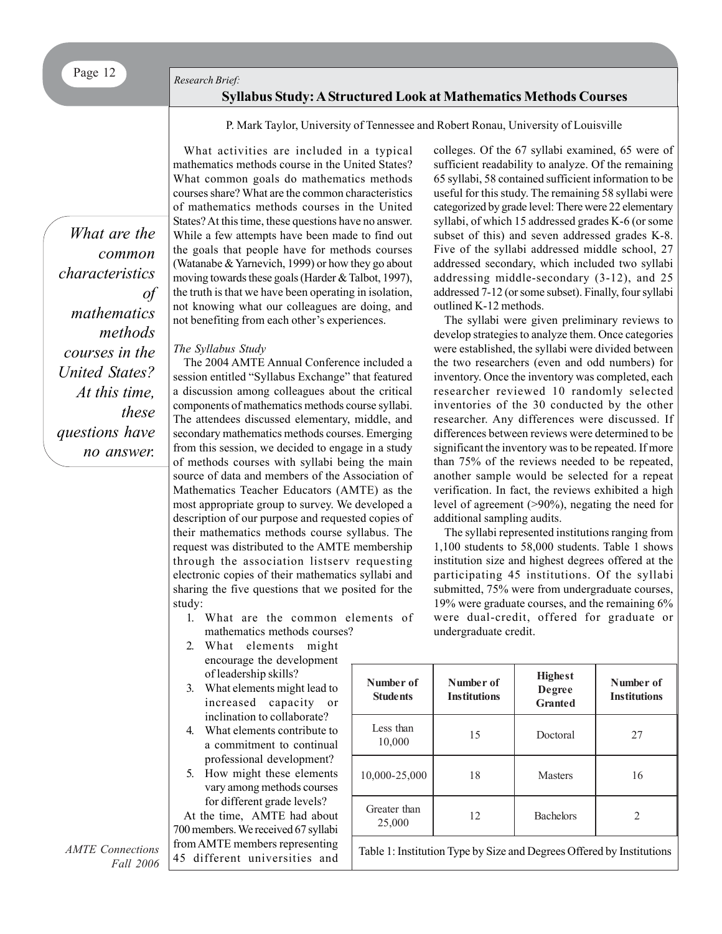## Page 12 *Research Brief:*

## **Syllabus Study: A Structured Look at Mathematics Methods Courses**

P. Mark Taylor, University of Tennessee and Robert Ronau, University of Louisville

*What are the common characteristics of mathematics methods courses in the United States? At this time, these questions have no answer.*

What activities are included in a typical mathematics methods course in the United States? What common goals do mathematics methods courses share? What are the common characteristics of mathematics methods courses in the United States? At this time, these questions have no answer. While a few attempts have been made to find out the goals that people have for methods courses (Watanabe & Yarnevich, 1999) or how they go about moving towards these goals (Harder & Talbot, 1997), the truth is that we have been operating in isolation, not knowing what our colleagues are doing, and not benefiting from each other's experiences.

## *The Syllabus Study*

The 2004 AMTE Annual Conference included a session entitled "Syllabus Exchange" that featured a discussion among colleagues about the critical components of mathematics methods course syllabi. The attendees discussed elementary, middle, and secondary mathematics methods courses. Emerging from this session, we decided to engage in a study of methods courses with syllabi being the main source of data and members of the Association of Mathematics Teacher Educators (AMTE) as the most appropriate group to survey. We developed a description of our purpose and requested copies of their mathematics methods course syllabus. The request was distributed to the AMTE membership through the association listserv requesting electronic copies of their mathematics syllabi and sharing the five questions that we posited for the study:

- 1. What are the common elements of mathematics methods courses?
- 2. What elements might encourage the development of leadership skills?
- 3. What elements might lead to increased capacity or inclination to collaborate?
- 4. What elements contribute to a commitment to continual professional development?
- 5. How might these elements vary among methods courses for different grade levels?

At the time, AMTE had about 700 members. We received 67 syllabi from AMTE members representing 45 different universities and

colleges. Of the 67 syllabi examined, 65 were of sufficient readability to analyze. Of the remaining 65 syllabi, 58 contained sufficient information to be useful for this study. The remaining 58 syllabi were categorized by grade level: There were 22 elementary syllabi, of which 15 addressed grades K-6 (or some subset of this) and seven addressed grades K-8. Five of the syllabi addressed middle school, 27 addressed secondary, which included two syllabi addressing middle-secondary (3-12), and 25 addressed 7-12 (or some subset). Finally, four syllabi outlined K-12 methods.

The syllabi were given preliminary reviews to develop strategies to analyze them. Once categories were established, the syllabi were divided between the two researchers (even and odd numbers) for inventory. Once the inventory was completed, each researcher reviewed 10 randomly selected inventories of the 30 conducted by the other researcher. Any differences were discussed. If differences between reviews were determined to be significant the inventory was to be repeated. If more than 75% of the reviews needed to be repeated, another sample would be selected for a repeat verification. In fact, the reviews exhibited a high level of agreement (>90%), negating the need for additional sampling audits.

The syllabi represented institutions ranging from 1,100 students to 58,000 students. Table 1 shows institution size and highest degrees offered at the participating 45 institutions. Of the syllabi submitted, 75% were from undergraduate courses, 19% were graduate courses, and the remaining 6% were dual-credit, offered for graduate or undergraduate credit.

| Number of<br><b>Students</b> | Number of<br><b>Institutions</b> | <b>Highest</b><br>Degree<br><b>Granted</b> | Number of<br><b>Institutions</b> |
|------------------------------|----------------------------------|--------------------------------------------|----------------------------------|
| Less than<br>10,000          | 15                               | Doctoral                                   | 27                               |
| 10,000-25,000                | 18                               | <b>Masters</b>                             | 16                               |
| Greater than<br>25,000       | 12                               | <b>Bachelors</b>                           | 2                                |

Table 1: Institution Type by Size and Degrees Offered by Institutions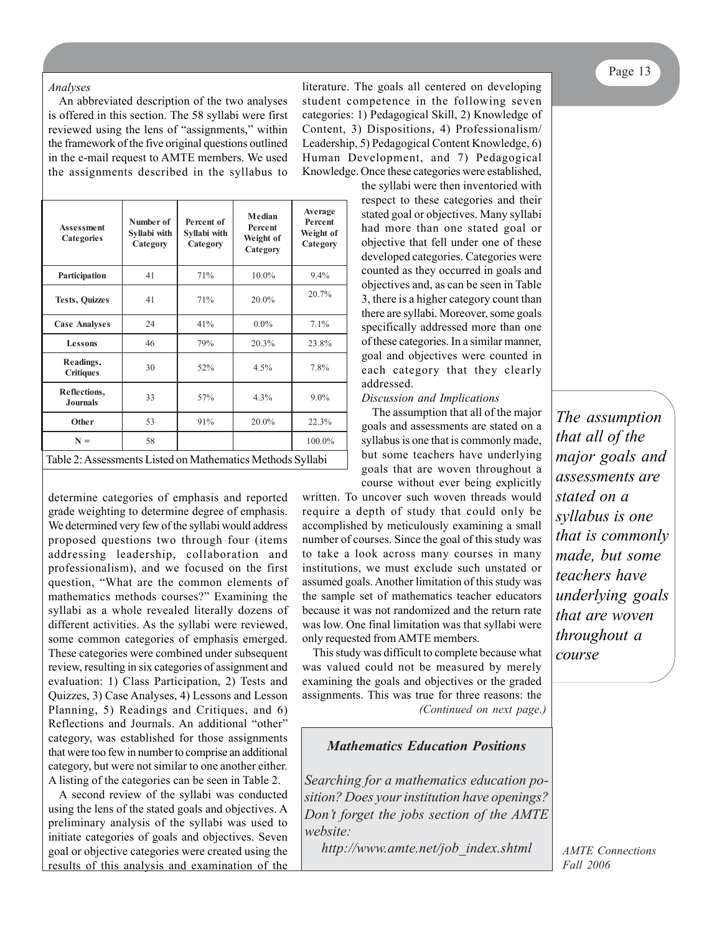#### *Analyses*

An abbreviated description of the two analyses is offered in this section. The 58 syllabi were first reviewed using the lens of "assignments," within the framework of the five original questions outlined in the e-mail request to AMTE members. We used the assignments described in the syllabus to literature. The goals all centered on developing student competence in the following seven categories: 1) Pedagogical Skill, 2) Knowledge of Content, 3) Dispositions, 4) Professionalism/ Leadership, 5) Pedagogical Content Knowledge, 6) Human Development, and 7) Pedagogical Knowledge. Once these categories were established, the syllabi were then inventoried with

| <b>Assessment</b><br>Categories                            | Number of<br>Syllabi with<br>Category | Percent of<br>Syllabi with<br>Category | Median<br>Percent<br>Weight of<br>Category | Average<br>Percent<br>Weight of<br>Category |
|------------------------------------------------------------|---------------------------------------|----------------------------------------|--------------------------------------------|---------------------------------------------|
| Participation                                              | 41                                    | 71%                                    | $10.0\%$                                   | $9.4\%$                                     |
| <b>Tests, Quizzes</b>                                      | 41                                    | 71%                                    | $20.0\%$                                   | 20.7%                                       |
| <b>Case Analyses</b>                                       | 24                                    | 41%                                    | $0.0\%$                                    | 7.1%                                        |
| Lessons                                                    | 46                                    | 79%                                    | 20.3%                                      | 23.8%                                       |
| Readings,<br><b>Critiques</b>                              | 30                                    | 52%                                    | 4.5%                                       | 7.8%                                        |
| Reflections,<br><b>Journals</b>                            | 33                                    | 57%                                    | 4.3%                                       | $9.0\%$                                     |
| Other                                                      | 53                                    | 91%                                    | 20.0%                                      | 22.3%                                       |
| $N =$                                                      | 58                                    |                                        |                                            | 100.0%                                      |
| Table 2: Assessments Listed on Mathematics Methods Syllabi |                                       |                                        |                                            |                                             |

determine categories of emphasis and reported grade weighting to determine degree of emphasis. We determined very few of the syllabi would address proposed questions two through four (items addressing leadership, collaboration and professionalism), and we focused on the first question, "What are the common elements of mathematics methods courses?" Examining the syllabi as a whole revealed literally dozens of different activities. As the syllabi were reviewed, some common categories of emphasis emerged. These categories were combined under subsequent review, resulting in six categories of assignment and evaluation: 1) Class Participation, 2) Tests and Quizzes, 3) Case Analyses, 4) Lessons and Lesson Planning, 5) Readings and Critiques, and 6) Reflections and Journals. An additional "other" category, was established for those assignments that were too few in number to comprise an additional category, but were not similar to one another either. A listing of the categories can be seen in Table 2.

A second review of the syllabi was conducted using the lens of the stated goals and objectives. A preliminary analysis of the syllabi was used to initiate categories of goals and objectives. Seven goal or objective categories were created using the results of this analysis and examination of the respect to these categories and their stated goal or objectives. Many syllabi had more than one stated goal or objective that fell under one of these developed categories. Categories were counted as they occurred in goals and objectives and, as can be seen in Table 3, there is a higher category count than there are syllabi. Moreover, some goals specifically addressed more than one of these categories. In a similar manner, goal and objectives were counted in each category that they clearly addressed.

#### *Discussion and Implications*

The assumption that all of the major goals and assessments are stated on a syllabus is one that is commonly made, but some teachers have underlying goals that are woven throughout a course without ever being explicitly

written. To uncover such woven threads would require a depth of study that could only be accomplished by meticulously examining a small number of courses. Since the goal of this study was to take a look across many courses in many institutions, we must exclude such unstated or assumed goals. Another limitation of this study was the sample set of mathematics teacher educators because it was not randomized and the return rate was low. One final limitation was that syllabi were only requested from AMTE members.

This study was difficult to complete because what was valued could not be measured by merely examining the goals and objectives or the graded assignments. This was true for three reasons: the *(Continued on next page.)*

## *Mathematics Education Positions*

*Searching for a mathematics education position? Does your institution have openings? Don't forget the jobs section of the AMTE website:*

*http://www.amte.net/job\_index.shtml*

*The assumption that all of the major goals and assessments are stated on a syllabus is one that is commonly made, but some teachers have underlying goals that are woven throughout a course*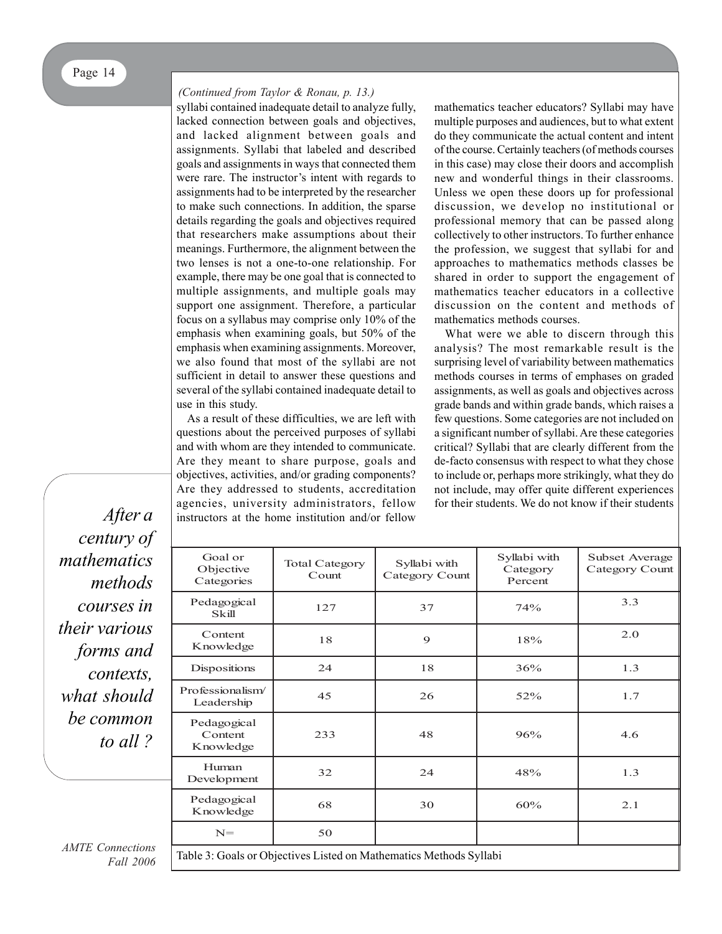## *(Continued from Taylor & Ronau, p. 13.)*

syllabi contained inadequate detail to analyze fully, lacked connection between goals and objectives, and lacked alignment between goals and assignments. Syllabi that labeled and described goals and assignments in ways that connected them were rare. The instructor's intent with regards to assignments had to be interpreted by the researcher to make such connections. In addition, the sparse details regarding the goals and objectives required that researchers make assumptions about their meanings. Furthermore, the alignment between the two lenses is not a one-to-one relationship. For example, there may be one goal that is connected to multiple assignments, and multiple goals may support one assignment. Therefore, a particular focus on a syllabus may comprise only 10% of the emphasis when examining goals, but 50% of the emphasis when examining assignments. Moreover, we also found that most of the syllabi are not sufficient in detail to answer these questions and several of the syllabi contained inadequate detail to use in this study.

As a result of these difficulties, we are left with questions about the perceived purposes of syllabi and with whom are they intended to communicate. Are they meant to share purpose, goals and objectives, activities, and/or grading components? Are they addressed to students, accreditation agencies, university administrators, fellow instructors at the home institution and/or fellow

mathematics teacher educators? Syllabi may have multiple purposes and audiences, but to what extent do they communicate the actual content and intent of the course. Certainly teachers (of methods courses in this case) may close their doors and accomplish new and wonderful things in their classrooms. Unless we open these doors up for professional discussion, we develop no institutional or professional memory that can be passed along collectively to other instructors. To further enhance the profession, we suggest that syllabi for and approaches to mathematics methods classes be shared in order to support the engagement of mathematics teacher educators in a collective discussion on the content and methods of mathematics methods courses.

What were we able to discern through this analysis? The most remarkable result is the surprising level of variability between mathematics methods courses in terms of emphases on graded assignments, as well as goals and objectives across grade bands and within grade bands, which raises a few questions. Some categories are not included on a significant number of syllabi. Are these categories critical? Syllabi that are clearly different from the de-facto consensus with respect to what they chose to include or, perhaps more strikingly, what they do not include, may offer quite different experiences for their students. We do not know if their students

*After a century of mathematics methods courses in their various forms and contexts, what should be common to all ?*

| Goal or<br>Objective<br>Categories  | <b>Total Category</b><br>Count | Syllabi with<br>Category Count                                     | Syllabi with<br>Category<br>Percent | Subset Average<br>Category Count |
|-------------------------------------|--------------------------------|--------------------------------------------------------------------|-------------------------------------|----------------------------------|
| Pedagogical<br>Skill                | 127                            | 37                                                                 | 74%                                 | 3.3                              |
| Content<br>Knowledge                | 18                             | $\mathbf Q$                                                        | 18%                                 | 2.0                              |
| Dispositions                        | 24                             | 18                                                                 | 36%                                 | 1.3                              |
| Professionalism<br>Leadership       | 45                             | 26                                                                 | 52%                                 | 1.7                              |
| Pedagogical<br>Content<br>Knowledge | 233                            | 48                                                                 | 96%                                 | 4.6                              |
| Human<br>Development                | 32                             | 24                                                                 | 48%                                 | 1.3                              |
| Pedagogical<br>Knowledge            | 68                             | 30                                                                 | 60%                                 | 2.1                              |
| $N =$                               | 50                             |                                                                    |                                     |                                  |
|                                     |                                | Table 3: Goals or Objectives Listed on Mathematics Methods Syllabi |                                     |                                  |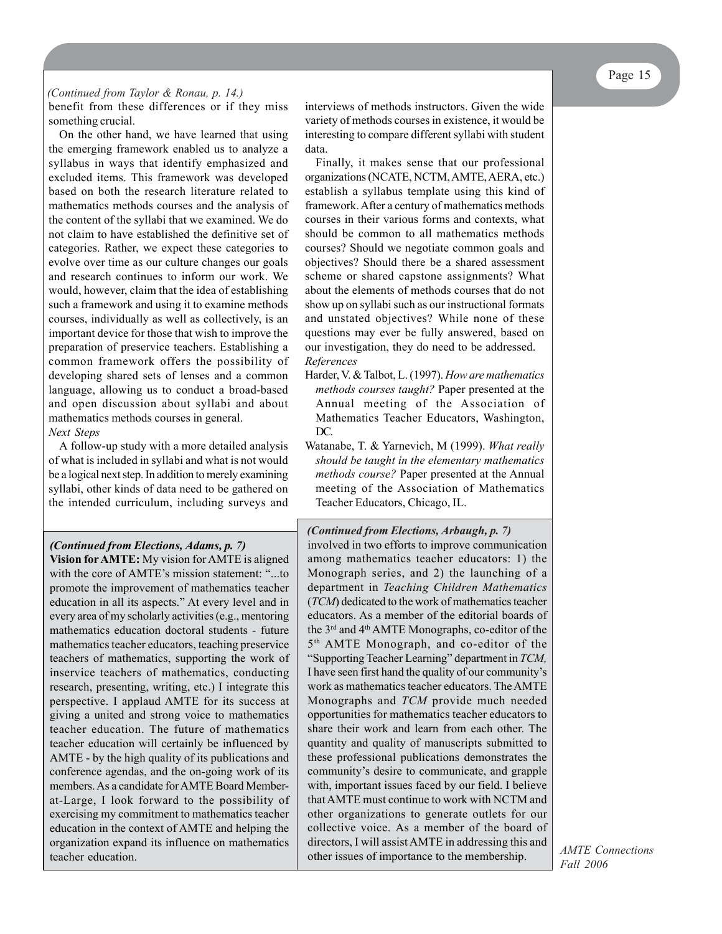#### benefit from these differences or if they miss something crucial. *(Continued from Taylor & Ronau, p. 14.)*

On the other hand, we have learned that using the emerging framework enabled us to analyze a syllabus in ways that identify emphasized and excluded items. This framework was developed based on both the research literature related to mathematics methods courses and the analysis of the content of the syllabi that we examined. We do not claim to have established the definitive set of categories. Rather, we expect these categories to evolve over time as our culture changes our goals and research continues to inform our work. We would, however, claim that the idea of establishing such a framework and using it to examine methods courses, individually as well as collectively, is an important device for those that wish to improve the preparation of preservice teachers. Establishing a common framework offers the possibility of developing shared sets of lenses and a common language, allowing us to conduct a broad-based and open discussion about syllabi and about mathematics methods courses in general. *Next Steps*

A follow-up study with a more detailed analysis of what is included in syllabi and what is not would be a logical next step. In addition to merely examining syllabi, other kinds of data need to be gathered on the intended curriculum, including surveys and

## *(Continued from Elections, Adams, p. 7)*

**Vision for AMTE:** My vision for AMTE is aligned with the core of AMTE's mission statement: "...to promote the improvement of mathematics teacher education in all its aspects." At every level and in every area of my scholarly activities (e.g., mentoring mathematics education doctoral students - future mathematics teacher educators, teaching preservice teachers of mathematics, supporting the work of inservice teachers of mathematics, conducting research, presenting, writing, etc.) I integrate this perspective. I applaud AMTE for its success at giving a united and strong voice to mathematics teacher education. The future of mathematics teacher education will certainly be influenced by AMTE - by the high quality of its publications and conference agendas, and the on-going work of its members. As a candidate for AMTE Board Memberat-Large, I look forward to the possibility of exercising my commitment to mathematics teacher education in the context of AMTE and helping the organization expand its influence on mathematics teacher education.

interviews of methods instructors. Given the wide variety of methods courses in existence, it would be interesting to compare different syllabi with student data.

Finally, it makes sense that our professional organizations (NCATE, NCTM, AMTE, AERA, etc.) establish a syllabus template using this kind of framework. After a century of mathematics methods courses in their various forms and contexts, what should be common to all mathematics methods courses? Should we negotiate common goals and objectives? Should there be a shared assessment scheme or shared capstone assignments? What about the elements of methods courses that do not show up on syllabi such as our instructional formats and unstated objectives? While none of these questions may ever be fully answered, based on our investigation, they do need to be addressed. *References*

- Harder, V. & Talbot, L. (1997). *How are mathematics methods courses taught?* Paper presented at the Annual meeting of the Association of Mathematics Teacher Educators, Washington, DC.
- Watanabe, T. & Yarnevich, M (1999). *What really should be taught in the elementary mathematics methods course?* Paper presented at the Annual meeting of the Association of Mathematics Teacher Educators, Chicago, IL.

## *(Continued from Elections, Arbaugh, p. 7)*

involved in two efforts to improve communication among mathematics teacher educators: 1) the Monograph series, and 2) the launching of a department in *Teaching Children Mathematics* (*TCM*) dedicated to the work of mathematics teacher educators. As a member of the editorial boards of the 3rd and 4th AMTE Monographs, co-editor of the 5th AMTE Monograph, and co-editor of the "Supporting Teacher Learning" department in *TCM,* I have seen first hand the quality of our community's work as mathematics teacher educators. The AMTE Monographs and *TCM* provide much needed opportunities for mathematics teacher educators to share their work and learn from each other. The quantity and quality of manuscripts submitted to these professional publications demonstrates the community's desire to communicate, and grapple with, important issues faced by our field. I believe that AMTE must continue to work with NCTM and other organizations to generate outlets for our collective voice. As a member of the board of directors, I will assist AMTE in addressing this and other issues of importance to the membership.